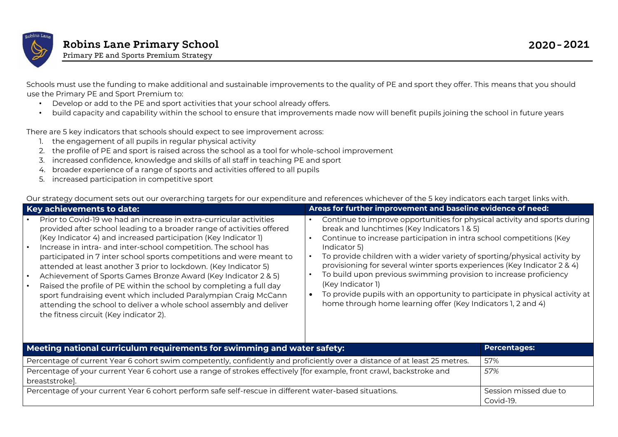

Schools must use the funding to make additional and sustainable improvements to the quality of PE and sport they offer. This means that you should use the Primary PE and Sport Premium to:

- Develop or add to the PE and sport activities that your school already offers.
- build capacity and capability within the school to ensure that improvements made now will benefit pupils joining the school in future years

There are 5 key indicators that schools should expect to see improvement across:

- 1. the engagement of all pupils in regular physical activity
- 2. the profile of PE and sport is raised across the school as a tool for whole-school improvement
- 3. increased confidence, knowledge and skills of all staff in teaching PE and sport
- 4. broader experience of a range of sports and activities offered to all pupils
- 5. increased participation in competitive sport

Our strategy document sets out our overarching targets for our expenditure and references whichever of the 5 key indicators each target links with.

| <b>Key achievements to date:</b>                                                                                                                                                                                                                                                                                                                                                                                                                                                                                                                                                                                                                                                                                                                                                       | Areas for further improvement and baseline evidence of need:                                                                                                                                                                                                                                                                                                                                                                                                                                                                                                                                                        |
|----------------------------------------------------------------------------------------------------------------------------------------------------------------------------------------------------------------------------------------------------------------------------------------------------------------------------------------------------------------------------------------------------------------------------------------------------------------------------------------------------------------------------------------------------------------------------------------------------------------------------------------------------------------------------------------------------------------------------------------------------------------------------------------|---------------------------------------------------------------------------------------------------------------------------------------------------------------------------------------------------------------------------------------------------------------------------------------------------------------------------------------------------------------------------------------------------------------------------------------------------------------------------------------------------------------------------------------------------------------------------------------------------------------------|
| Prior to Covid-19 we had an increase in extra-curricular activities<br>provided after school leading to a broader range of activities offered<br>(Key Indicator 4) and increased participation (Key Indicator 1)<br>Increase in intra- and inter-school competition. The school has<br>$\bullet$<br>participated in 7 inter school sports competitions and were meant to<br>attended at least another 3 prior to lockdown. (Key Indicator 5)<br>Achievement of Sports Games Bronze Award (Key Indicator 2 & 5)<br>$\bullet$<br>Raised the profile of PE within the school by completing a full day<br>sport fundraising event which included Paralympian Craig McCann<br>attending the school to deliver a whole school assembly and deliver<br>the fitness circuit (Key indicator 2). | Continue to improve opportunities for physical activity and sports during<br>break and lunchtimes (Key Indicators 1 & 5)<br>Continue to increase participation in intra school competitions (Key<br>Indicator 5)<br>To provide children with a wider variety of sporting/physical activity by<br>provisioning for several winter sports experiences (Key Indicator 2 & 4)<br>To build upon previous swimming provision to increase proficiency<br>(Key Indicator 1)<br>To provide pupils with an opportunity to participate in physical activity at<br>home through home learning offer (Key Indicators 1, 2 and 4) |

| Meeting national curriculum requirements for swimming and water safety:                                                                 | <b>Percentages:</b>                |
|-----------------------------------------------------------------------------------------------------------------------------------------|------------------------------------|
| Percentage of current Year 6 cohort swim competently, confidently and proficiently over a distance of at least 25 metres.               | 57%                                |
| Percentage of your current Year 6 cohort use a range of strokes effectively [for example, front crawl, backstroke and<br>breaststroke]. | 57%                                |
| Percentage of your current Year 6 cohort perform safe self-rescue in different water-based situations.                                  | Session missed due to<br>Covid-19. |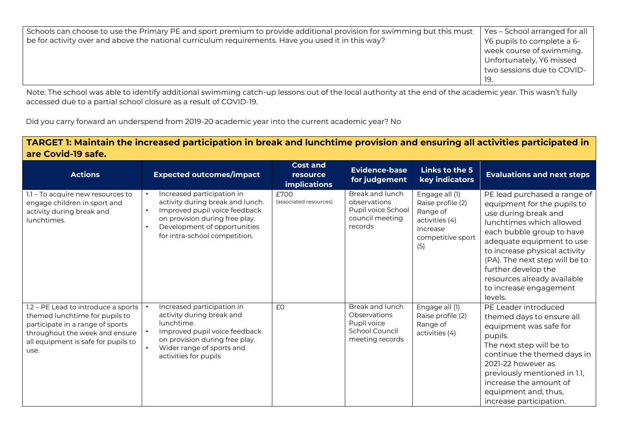|                                                                                                                       | Yes - School arranged for all |
|-----------------------------------------------------------------------------------------------------------------------|-------------------------------|
| Schools can choose to use the Primary PE and sport premium to provide additional provision for swimming but this must |                               |
| be for activity over and above the national curriculum requirements. Have you used it in this way?                    | Y6 pupils to complete a 6-    |
|                                                                                                                       | week course of swimming.      |
|                                                                                                                       | Unfortunately, Y6 missed      |
|                                                                                                                       | two sessions due to COVID-    |
|                                                                                                                       | -19.                          |

Note: The school was able to identify additional swimming catch-up lessons out of the local authority at the end of the academic year. This wasn't fully accessed due to a partial school closure as a result of COVID-19.

Did you carry forward an underspend from 2019-20 academic year into the current academic year? No

## **TARGET 1: Maintain the increased participation in break and lunchtime provision and ensuring all activities participated in are Covid-19 safe.**

| <b>Actions</b>                                                                                                                                                                             | <b>Expected outcomes/impact</b>                                                                                                                                                                                                           | <b>Cost and</b><br>resource<br><b>implications</b> | <b>Evidence-base</b><br>for judgement                                               | Links to the 5<br>key indicators                                                                          | <b>Evaluations and next steps</b>                                                                                                                                                                                                                                                                                                       |
|--------------------------------------------------------------------------------------------------------------------------------------------------------------------------------------------|-------------------------------------------------------------------------------------------------------------------------------------------------------------------------------------------------------------------------------------------|----------------------------------------------------|-------------------------------------------------------------------------------------|-----------------------------------------------------------------------------------------------------------|-----------------------------------------------------------------------------------------------------------------------------------------------------------------------------------------------------------------------------------------------------------------------------------------------------------------------------------------|
| 1.1 - To acquire new resources to<br>engage children in sport and<br>activity during break and<br>lunchtimes.                                                                              | Increased participation in<br>$\bullet$<br>activity during break and lunch.<br>Improved pupil voice feedback<br>$\bullet$<br>on provision during free play.<br>Development of opportunities<br>$\bullet$<br>for intra-school competition. | £700<br>(associated resources)                     | Break and lunch<br>observations<br>Pupil voice School<br>council meeting<br>records | Engage all (1)<br>Raise profile (2)<br>Range of<br>activities (4)<br>Increase<br>competitive sport<br>(5) | PE lead purchased a range of<br>equipment for the pupils to<br>use during break and<br>lunchtimes which allowed<br>each bubble group to have<br>adequate equipment to use<br>to increase physical activity<br>(PA). The next step will be to<br>further develop the<br>resources already available<br>to increase engagement<br>levels. |
| 1.2 – PE Lead to introduce a sports<br>themed lunchtime for pupils to<br>participate in a range of sports<br>throughout the week and ensure<br>all equipment is safe for pupils to<br>use. | Increased participation in<br>activity during break and<br>lunchtime.<br>Improved pupil voice feedback<br>on provision during free play.<br>Wider range of sports and<br>$\bullet$<br>activities for pupils                               | £0                                                 | Break and lunch<br>Observations<br>Pupil voice<br>School Council<br>meeting records | Engage all (1)<br>Raise profile (2)<br>Range of<br>activities (4)                                         | PE Leader introduced<br>themed days to ensure all<br>equipment was safe for<br>pupils.<br>The next step will be to<br>continue the themed days in<br>2021-22 however as<br>previously mentioned in 1.1,<br>increase the amount of<br>equipment and, thus,<br>increase participation.                                                    |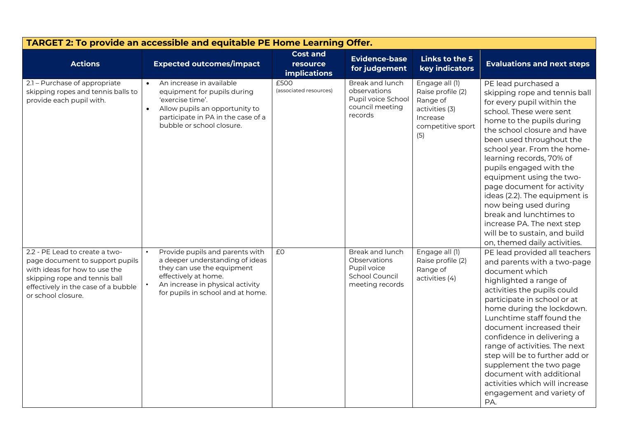| TARGET 2: To provide an accessible and equitable PE Home Learning Offer.                                                                                                                         |                                                                                                                                                                                                                |                                                    |                                                                                     |                                                                                                           |                                                                                                                                                                                                                                                                                                                                                                                                                                                                                                                                           |  |
|--------------------------------------------------------------------------------------------------------------------------------------------------------------------------------------------------|----------------------------------------------------------------------------------------------------------------------------------------------------------------------------------------------------------------|----------------------------------------------------|-------------------------------------------------------------------------------------|-----------------------------------------------------------------------------------------------------------|-------------------------------------------------------------------------------------------------------------------------------------------------------------------------------------------------------------------------------------------------------------------------------------------------------------------------------------------------------------------------------------------------------------------------------------------------------------------------------------------------------------------------------------------|--|
| <b>Actions</b>                                                                                                                                                                                   | <b>Expected outcomes/impact</b>                                                                                                                                                                                | <b>Cost and</b><br>resource<br><b>implications</b> | Evidence-base<br>for judgement                                                      | Links to the 5<br>key indicators                                                                          | <b>Evaluations and next steps</b>                                                                                                                                                                                                                                                                                                                                                                                                                                                                                                         |  |
| 2.1 - Purchase of appropriate<br>skipping ropes and tennis balls to<br>provide each pupil with.                                                                                                  | An increase in available<br>$\bullet$<br>equipment for pupils during<br>'exercise time'.<br>Allow pupils an opportunity to<br>$\bullet$<br>participate in PA in the case of a<br>bubble or school closure.     | £500<br>(associated resources)                     | Break and lunch<br>observations<br>Pupil voice School<br>council meeting<br>records | Engage all (1)<br>Raise profile (2)<br>Range of<br>activities (3)<br>Increase<br>competitive sport<br>(5) | PE lead purchased a<br>skipping rope and tennis ball<br>for every pupil within the<br>school. These were sent<br>home to the pupils during<br>the school closure and have<br>been used throughout the<br>school year. From the home-<br>learning records, 70% of<br>pupils engaged with the<br>equipment using the two-<br>page document for activity<br>ideas (2.2). The equipment is<br>now being used during<br>break and lunchtimes to<br>increase PA. The next step<br>will be to sustain, and build<br>on, themed daily activities. |  |
| 2.2 - PE Lead to create a two-<br>page document to support pupils<br>with ideas for how to use the<br>skipping rope and tennis ball<br>effectively in the case of a bubble<br>or school closure. | Provide pupils and parents with<br>a deeper understanding of ideas<br>they can use the equipment<br>effectively at home.<br>An increase in physical activity<br>$\bullet$<br>for pupils in school and at home. | E <sub>0</sub>                                     | Break and lunch<br>Observations<br>Pupil voice<br>School Council<br>meeting records | Engage all (1)<br>Raise profile (2)<br>Range of<br>activities (4)                                         | PE lead provided all teachers<br>and parents with a two-page<br>document which<br>highlighted a range of<br>activities the pupils could<br>participate in school or at<br>home during the lockdown.<br>Lunchtime staff found the<br>document increased their<br>confidence in delivering a<br>range of activities. The next<br>step will be to further add or<br>supplement the two page<br>document with additional<br>activities which will increase<br>engagement and variety of<br>PA.                                                |  |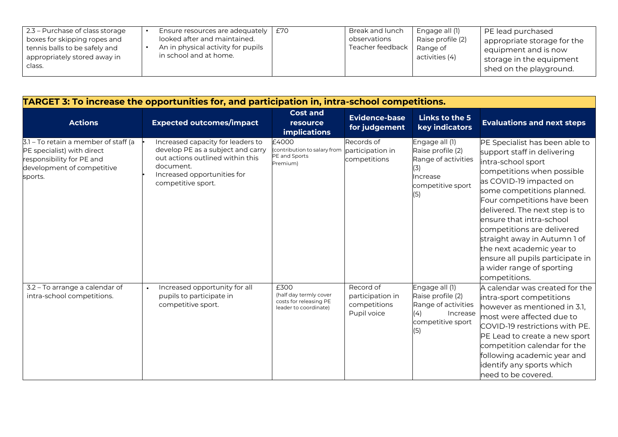| 2.3 – Purchase of class storage<br>boxes for skipping ropes and<br>tennis balls to be safely and<br>appropriately stored away in<br>class. | Ensure resources are adequately<br>looked after and maintained.<br>An in physical activity for pupils<br>in school and at home. | £70 | Break and lunch<br>observations<br>I Teacher feedback   Range of | Engage all (1)<br>Raise profile (2)<br>$\vert$ activities (4) | PE lead purchased<br>appropriate storage for the<br>equipment and is now<br>storage in the equipment<br>shed on the playground. |
|--------------------------------------------------------------------------------------------------------------------------------------------|---------------------------------------------------------------------------------------------------------------------------------|-----|------------------------------------------------------------------|---------------------------------------------------------------|---------------------------------------------------------------------------------------------------------------------------------|
|--------------------------------------------------------------------------------------------------------------------------------------------|---------------------------------------------------------------------------------------------------------------------------------|-----|------------------------------------------------------------------|---------------------------------------------------------------|---------------------------------------------------------------------------------------------------------------------------------|

| TARGET 3: To increase the opportunities for, and participation in, intra-school competitions.                                            |                                                                                                                                                                              |                                                                                   |                                                              |                                                                                                           |                                                                                                                                                                                                                                                                                                                                                                                                                                                      |  |
|------------------------------------------------------------------------------------------------------------------------------------------|------------------------------------------------------------------------------------------------------------------------------------------------------------------------------|-----------------------------------------------------------------------------------|--------------------------------------------------------------|-----------------------------------------------------------------------------------------------------------|------------------------------------------------------------------------------------------------------------------------------------------------------------------------------------------------------------------------------------------------------------------------------------------------------------------------------------------------------------------------------------------------------------------------------------------------------|--|
| <b>Actions</b>                                                                                                                           | <b>Expected outcomes/impact</b>                                                                                                                                              | <b>Cost and</b><br><b>resource</b><br><b>implications</b>                         | <b>Evidence-base</b><br>for judgement                        | Links to the 5<br>key indicators                                                                          | <b>Evaluations and next steps</b>                                                                                                                                                                                                                                                                                                                                                                                                                    |  |
| 3.1 – To retain a member of staff (a<br>PE specialist) with direct<br>responsibility for PE and<br>development of competitive<br>sports. | Increased capacity for leaders to<br>develop PE as a subject and carry<br>out actions outlined within this<br>document.<br>Increased opportunities for<br>competitive sport. | £4000<br>(contribution to salary from<br>PE and Sports<br>Premium)                | Records of<br>participation in<br>competitions               | Engage all (1)<br>Raise profile (2)<br>Range of activities<br>Increase<br>competitive sport<br>(5)        | PE Specialist has been able to<br>support staff in delivering<br>intra-school sport<br>competitions when possible<br>as COVID-19 impacted on<br>some competitions planned.<br>Four competitions have been<br>delivered. The next step is to<br>ensure that intra-school<br>competitions are delivered<br>straight away in Autumn 1 of<br>the next academic year to<br>ensure all pupils participate in<br>a wider range of sporting<br>competitions. |  |
| 3.2 - To arrange a calendar of<br>intra-school competitions.                                                                             | Increased opportunity for all<br>pupils to participate in<br>competitive sport.                                                                                              | £300<br>(half day termly cover<br>costs for releasing PE<br>leader to coordinate) | Record of<br>participation in<br>competitions<br>Pupil voice | Engage all (1)<br>Raise profile (2)<br>Range of activities<br>(4)<br>Increase<br>competitive sport<br>(5) | A calendar was created for the<br>intra-sport competitions<br>however as mentioned in 3.1,<br>most were affected due to<br>COVID-19 restrictions with PE.<br>PE Lead to create a new sport<br>competition calendar for the<br>following academic year and<br>identify any sports which<br>need to be covered.                                                                                                                                        |  |